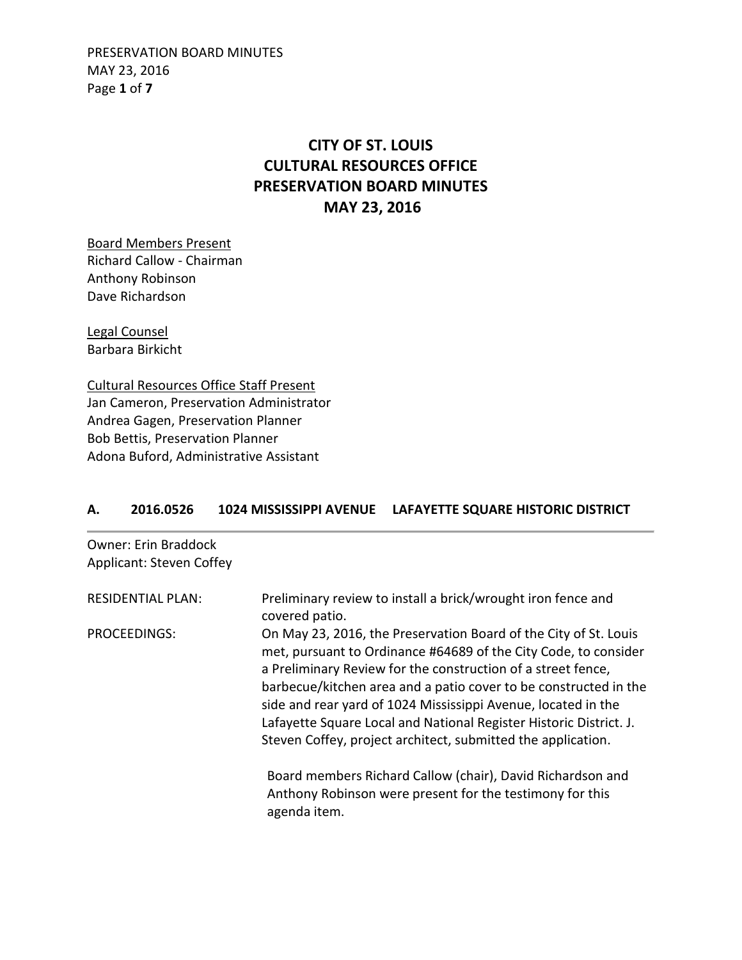PRESERVATION BOARD MINUTES MAY 23, 2016 Page **1** of **7**

# **CITY OF ST. LOUIS CULTURAL RESOURCES OFFICE PRESERVATION BOARD MINUTES MAY 23, 2016**

Board Members Present Richard Callow - Chairman Anthony Robinson Dave Richardson

Legal Counsel Barbara Birkicht

Cultural Resources Office Staff Present Jan Cameron, Preservation Administrator Andrea Gagen, Preservation Planner Bob Bettis, Preservation Planner Adona Buford, Administrative Assistant

#### **A. 2016.0526 1024 MISSISSIPPI AVENUE LAFAYETTE SQUARE HISTORIC DISTRICT**

Owner: Erin Braddock Applicant: Steven Coffey

| <b>RESIDENTIAL PLAN:</b> | Preliminary review to install a brick/wrought iron fence and<br>covered patio.                                                                                                                                                                                                                                                                                                                                                                                                 |
|--------------------------|--------------------------------------------------------------------------------------------------------------------------------------------------------------------------------------------------------------------------------------------------------------------------------------------------------------------------------------------------------------------------------------------------------------------------------------------------------------------------------|
| PROCEEDINGS:             | On May 23, 2016, the Preservation Board of the City of St. Louis<br>met, pursuant to Ordinance #64689 of the City Code, to consider<br>a Preliminary Review for the construction of a street fence,<br>barbecue/kitchen area and a patio cover to be constructed in the<br>side and rear yard of 1024 Mississippi Avenue, located in the<br>Lafayette Square Local and National Register Historic District. J.<br>Steven Coffey, project architect, submitted the application. |
|                          | Board members Richard Callow (chair), David Richardson and<br>Anthony Robinson were present for the testimony for this<br>agenda item.                                                                                                                                                                                                                                                                                                                                         |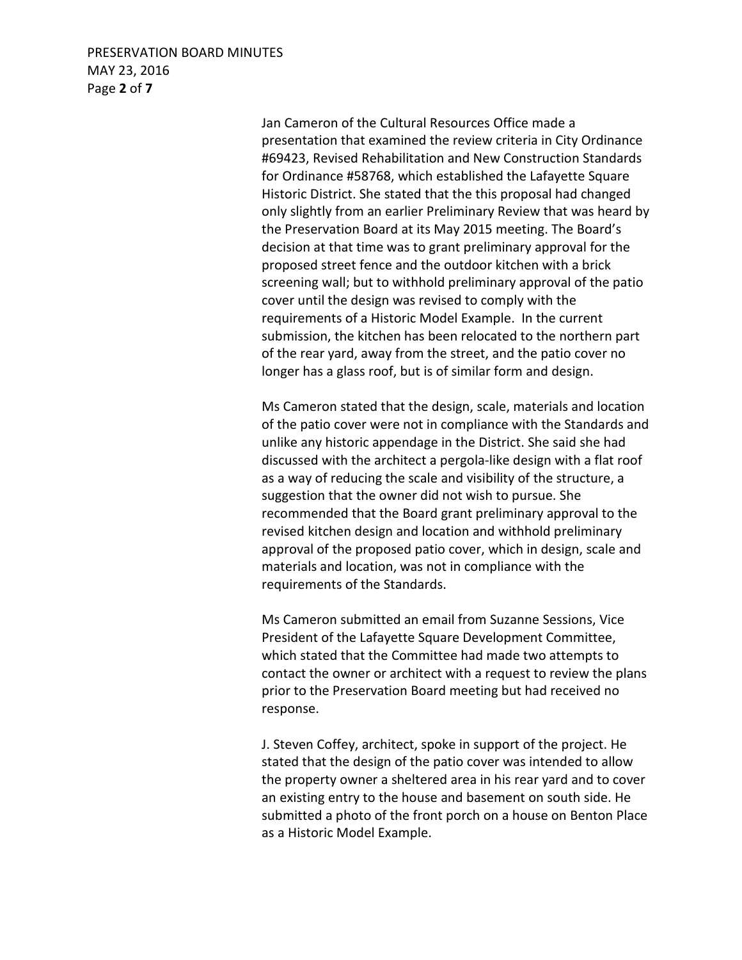#### PRESERVATION BOARD MINUTES MAY 23, 2016 Page **2** of **7**

 Jan Cameron of the Cultural Resources Office made a presentation that examined the review criteria in City Ordinance #69423, Revised Rehabilitation and New Construction Standards for Ordinance #58768, which established the Lafayette Square Historic District. She stated that the this proposal had changed only slightly from an earlier Preliminary Review that was heard by the Preservation Board at its May 2015 meeting. The Board's decision at that time was to grant preliminary approval for the proposed street fence and the outdoor kitchen with a brick screening wall; but to withhold preliminary approval of the patio cover until the design was revised to comply with the requirements of a Historic Model Example. In the current submission, the kitchen has been relocated to the northern part of the rear yard, away from the street, and the patio cover no longer has a glass roof, but is of similar form and design.

 Ms Cameron stated that the design, scale, materials and location of the patio cover were not in compliance with the Standards and unlike any historic appendage in the District. She said she had discussed with the architect a pergola-like design with a flat roof as a way of reducing the scale and visibility of the structure, a suggestion that the owner did not wish to pursue. She recommended that the Board grant preliminary approval to the revised kitchen design and location and withhold preliminary approval of the proposed patio cover, which in design, scale and materials and location, was not in compliance with the requirements of the Standards.

 Ms Cameron submitted an email from Suzanne Sessions, Vice President of the Lafayette Square Development Committee, which stated that the Committee had made two attempts to contact the owner or architect with a request to review the plans prior to the Preservation Board meeting but had received no response.

 J. Steven Coffey, architect, spoke in support of the project. He stated that the design of the patio cover was intended to allow the property owner a sheltered area in his rear yard and to cover an existing entry to the house and basement on south side. He submitted a photo of the front porch on a house on Benton Place as a Historic Model Example.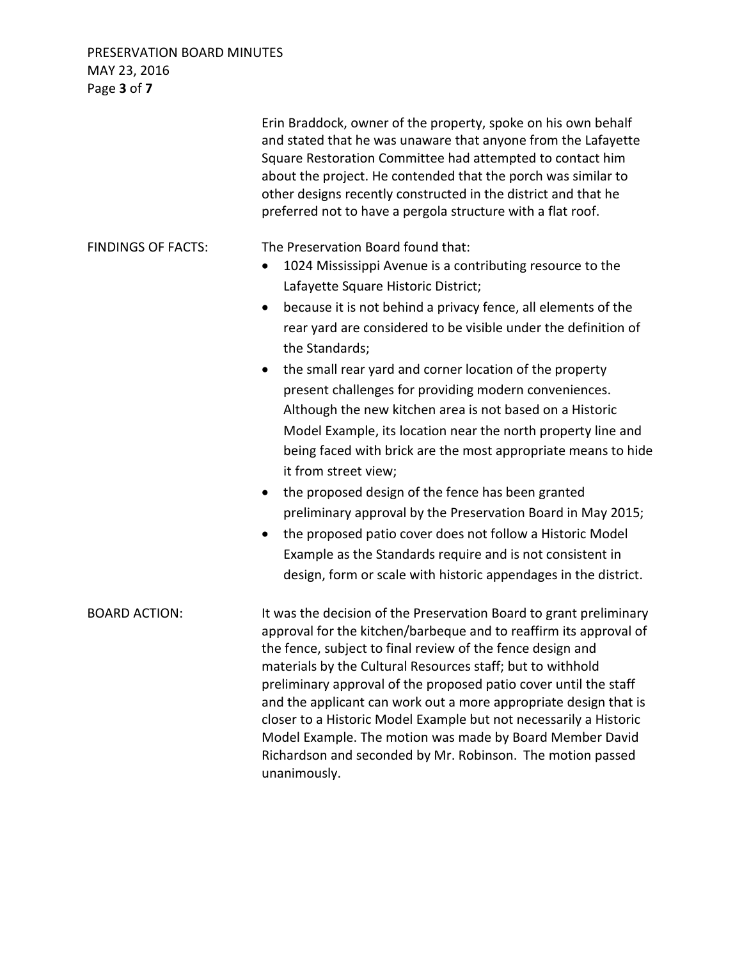PRESERVATION BOARD MINUTES MAY 23, 2016 Page **3** of **7**

|                           | Erin Braddock, owner of the property, spoke on his own behalf<br>and stated that he was unaware that anyone from the Lafayette<br>Square Restoration Committee had attempted to contact him<br>about the project. He contended that the porch was similar to<br>other designs recently constructed in the district and that he<br>preferred not to have a pergola structure with a flat roof.                                                                                                                                                                                                                                                                                                                                                                                                                                                                                                                                                                                                |
|---------------------------|----------------------------------------------------------------------------------------------------------------------------------------------------------------------------------------------------------------------------------------------------------------------------------------------------------------------------------------------------------------------------------------------------------------------------------------------------------------------------------------------------------------------------------------------------------------------------------------------------------------------------------------------------------------------------------------------------------------------------------------------------------------------------------------------------------------------------------------------------------------------------------------------------------------------------------------------------------------------------------------------|
| <b>FINDINGS OF FACTS:</b> | The Preservation Board found that:<br>1024 Mississippi Avenue is a contributing resource to the<br>$\bullet$<br>Lafayette Square Historic District;<br>because it is not behind a privacy fence, all elements of the<br>$\bullet$<br>rear yard are considered to be visible under the definition of<br>the Standards;<br>the small rear yard and corner location of the property<br>present challenges for providing modern conveniences.<br>Although the new kitchen area is not based on a Historic<br>Model Example, its location near the north property line and<br>being faced with brick are the most appropriate means to hide<br>it from street view;<br>the proposed design of the fence has been granted<br>preliminary approval by the Preservation Board in May 2015;<br>the proposed patio cover does not follow a Historic Model<br>$\bullet$<br>Example as the Standards require and is not consistent in<br>design, form or scale with historic appendages in the district. |
| <b>BOARD ACTION:</b>      | It was the decision of the Preservation Board to grant preliminary<br>approval for the kitchen/barbeque and to reaffirm its approval of<br>the fence, subject to final review of the fence design and<br>materials by the Cultural Resources staff; but to withhold<br>preliminary approval of the proposed patio cover until the staff<br>and the applicant can work out a more appropriate design that is<br>closer to a Historic Model Example but not necessarily a Historic<br>Model Example. The motion was made by Board Member David<br>Richardson and seconded by Mr. Robinson. The motion passed<br>unanimously.                                                                                                                                                                                                                                                                                                                                                                   |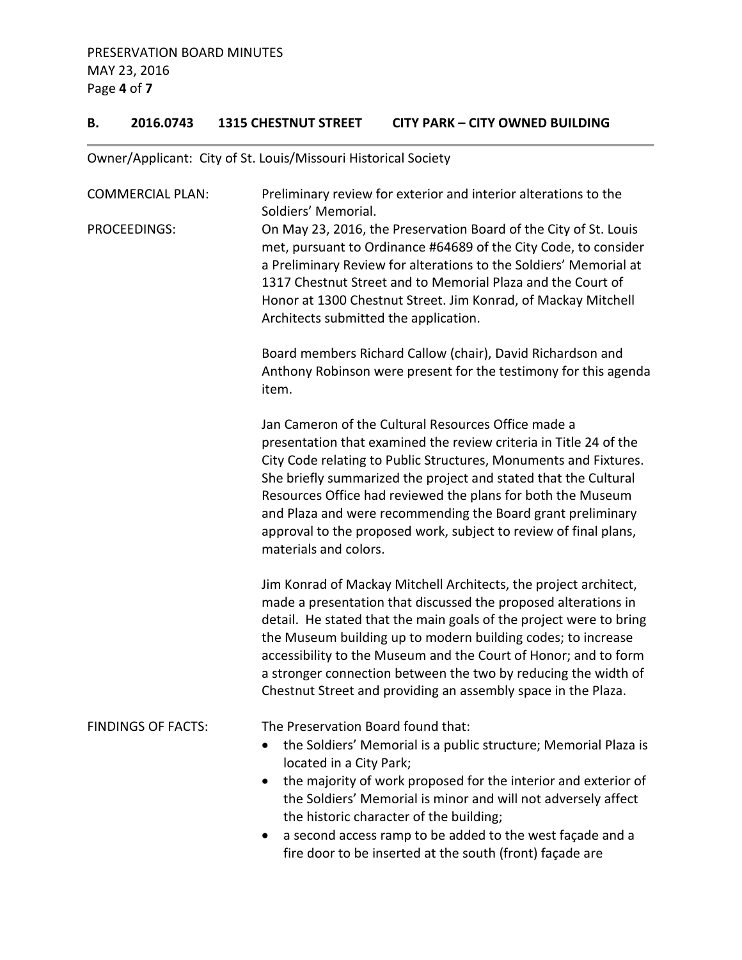### **B. 2016.0743 1315 CHESTNUT STREET CITY PARK – CITY OWNED BUILDING**

## Owner/Applicant: City of St. Louis/Missouri Historical Society

| <b>COMMERCIAL PLAN:</b>   | Preliminary review for exterior and interior alterations to the<br>Soldiers' Memorial.                                                                                                                                                                                                                                                                                                                                                                                                     |
|---------------------------|--------------------------------------------------------------------------------------------------------------------------------------------------------------------------------------------------------------------------------------------------------------------------------------------------------------------------------------------------------------------------------------------------------------------------------------------------------------------------------------------|
| <b>PROCEEDINGS:</b>       | On May 23, 2016, the Preservation Board of the City of St. Louis<br>met, pursuant to Ordinance #64689 of the City Code, to consider<br>a Preliminary Review for alterations to the Soldiers' Memorial at<br>1317 Chestnut Street and to Memorial Plaza and the Court of<br>Honor at 1300 Chestnut Street. Jim Konrad, of Mackay Mitchell<br>Architects submitted the application.                                                                                                          |
|                           | Board members Richard Callow (chair), David Richardson and<br>Anthony Robinson were present for the testimony for this agenda<br>item.                                                                                                                                                                                                                                                                                                                                                     |
|                           | Jan Cameron of the Cultural Resources Office made a<br>presentation that examined the review criteria in Title 24 of the<br>City Code relating to Public Structures, Monuments and Fixtures.<br>She briefly summarized the project and stated that the Cultural<br>Resources Office had reviewed the plans for both the Museum<br>and Plaza and were recommending the Board grant preliminary<br>approval to the proposed work, subject to review of final plans,<br>materials and colors. |
|                           | Jim Konrad of Mackay Mitchell Architects, the project architect,<br>made a presentation that discussed the proposed alterations in<br>detail. He stated that the main goals of the project were to bring<br>the Museum building up to modern building codes; to increase<br>accessibility to the Museum and the Court of Honor; and to form<br>a stronger connection between the two by reducing the width of<br>Chestnut Street and providing an assembly space in the Plaza.             |
| <b>FINDINGS OF FACTS:</b> | The Preservation Board found that:<br>the Soldiers' Memorial is a public structure; Memorial Plaza is<br>located in a City Park;<br>the majority of work proposed for the interior and exterior of<br>the Soldiers' Memorial is minor and will not adversely affect<br>the historic character of the building;<br>a second access ramp to be added to the west façade and a<br>fire door to be inserted at the south (front) façade are                                                    |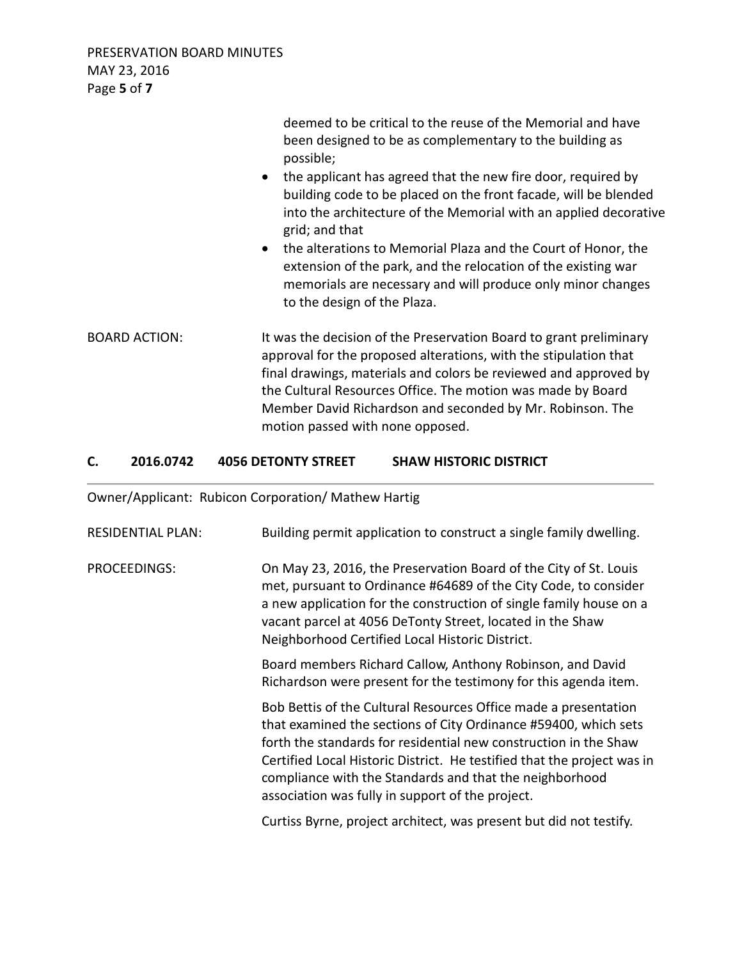PRESERVATION BOARD MINUTES MAY 23, 2016 Page **5** of **7**

|                      | deemed to be critical to the reuse of the Memorial and have<br>been designed to be as complementary to the building as<br>possible;<br>• the applicant has agreed that the new fire door, required by<br>building code to be placed on the front facade, will be blended<br>into the architecture of the Memorial with an applied decorative<br>grid; and that<br>the alterations to Memorial Plaza and the Court of Honor, the<br>$\bullet$<br>extension of the park, and the relocation of the existing war<br>memorials are necessary and will produce only minor changes<br>to the design of the Plaza. |
|----------------------|-------------------------------------------------------------------------------------------------------------------------------------------------------------------------------------------------------------------------------------------------------------------------------------------------------------------------------------------------------------------------------------------------------------------------------------------------------------------------------------------------------------------------------------------------------------------------------------------------------------|
| <b>BOARD ACTION:</b> | It was the decision of the Preservation Board to grant preliminary<br>approval for the proposed alterations, with the stipulation that<br>final drawings, materials and colors be reviewed and approved by<br>the Cultural Resources Office. The motion was made by Board<br>Member David Richardson and seconded by Mr. Robinson. The<br>motion passed with none opposed.                                                                                                                                                                                                                                  |

## **C. 2016.0742 4056 DETONTY STREET SHAW HISTORIC DISTRICT**

Owner/Applicant: Rubicon Corporation/ Mathew Hartig

| <b>RESIDENTIAL PLAN:</b> | Building permit application to construct a single family dwelling.                                                                                                                                                                                                                                                                                                                               |
|--------------------------|--------------------------------------------------------------------------------------------------------------------------------------------------------------------------------------------------------------------------------------------------------------------------------------------------------------------------------------------------------------------------------------------------|
| PROCEEDINGS:             | On May 23, 2016, the Preservation Board of the City of St. Louis<br>met, pursuant to Ordinance #64689 of the City Code, to consider<br>a new application for the construction of single family house on a<br>vacant parcel at 4056 DeTonty Street, located in the Shaw<br>Neighborhood Certified Local Historic District.                                                                        |
|                          | Board members Richard Callow, Anthony Robinson, and David<br>Richardson were present for the testimony for this agenda item.                                                                                                                                                                                                                                                                     |
|                          | Bob Bettis of the Cultural Resources Office made a presentation<br>that examined the sections of City Ordinance #59400, which sets<br>forth the standards for residential new construction in the Shaw<br>Certified Local Historic District. He testified that the project was in<br>compliance with the Standards and that the neighborhood<br>association was fully in support of the project. |
|                          | Curtiss Byrne, project architect, was present but did not testify.                                                                                                                                                                                                                                                                                                                               |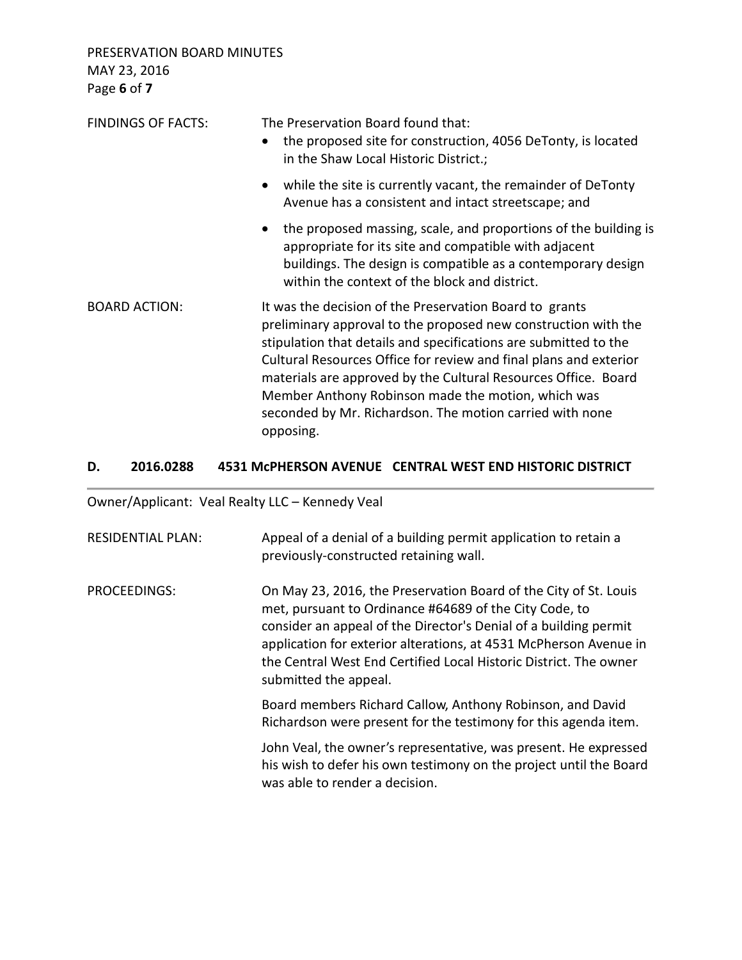PRESERVATION BOARD MINUTES MAY 23, 2016 Page **6** of **7**

| <b>FINDINGS OF FACTS:</b> | The Preservation Board found that:<br>the proposed site for construction, 4056 DeTonty, is located<br>$\bullet$<br>in the Shaw Local Historic District.;                                                                                                                                                                                                                                                                                                            |
|---------------------------|---------------------------------------------------------------------------------------------------------------------------------------------------------------------------------------------------------------------------------------------------------------------------------------------------------------------------------------------------------------------------------------------------------------------------------------------------------------------|
|                           | while the site is currently vacant, the remainder of DeTonty<br>$\bullet$<br>Avenue has a consistent and intact streetscape; and                                                                                                                                                                                                                                                                                                                                    |
|                           | the proposed massing, scale, and proportions of the building is<br>$\bullet$<br>appropriate for its site and compatible with adjacent<br>buildings. The design is compatible as a contemporary design<br>within the context of the block and district.                                                                                                                                                                                                              |
| <b>BOARD ACTION:</b>      | It was the decision of the Preservation Board to grants<br>preliminary approval to the proposed new construction with the<br>stipulation that details and specifications are submitted to the<br>Cultural Resources Office for review and final plans and exterior<br>materials are approved by the Cultural Resources Office. Board<br>Member Anthony Robinson made the motion, which was<br>seconded by Mr. Richardson. The motion carried with none<br>opposing. |

## **D. 2016.0288 4531 McPHERSON AVENUE CENTRAL WEST END HISTORIC DISTRICT**

Owner/Applicant: Veal Realty LLC – Kennedy Veal

| <b>RESIDENTIAL PLAN:</b> | Appeal of a denial of a building permit application to retain a<br>previously-constructed retaining wall.                                                                                                                                                                                                                                                         |
|--------------------------|-------------------------------------------------------------------------------------------------------------------------------------------------------------------------------------------------------------------------------------------------------------------------------------------------------------------------------------------------------------------|
| PROCEEDINGS:             | On May 23, 2016, the Preservation Board of the City of St. Louis<br>met, pursuant to Ordinance #64689 of the City Code, to<br>consider an appeal of the Director's Denial of a building permit<br>application for exterior alterations, at 4531 McPherson Avenue in<br>the Central West End Certified Local Historic District. The owner<br>submitted the appeal. |
|                          | Board members Richard Callow, Anthony Robinson, and David<br>Richardson were present for the testimony for this agenda item.                                                                                                                                                                                                                                      |
|                          | John Veal, the owner's representative, was present. He expressed<br>his wish to defer his own testimony on the project until the Board<br>was able to render a decision.                                                                                                                                                                                          |